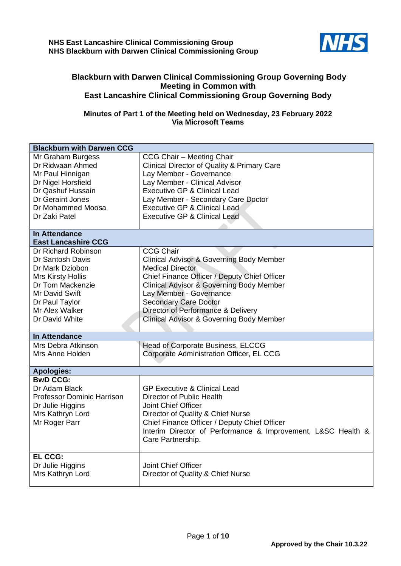

## **Blackburn with Darwen Clinical Commissioning Group Governing Body Meeting in Common with East Lancashire Clinical Commissioning Group Governing Body**

## **Minutes of Part 1 of the Meeting held on Wednesday, 23 February 2022 Via Microsoft Teams**

| <b>Blackburn with Darwen CCG</b>                                                                                                                                                   |                                                                                                                                                                                                                                                                                                                                                            |
|------------------------------------------------------------------------------------------------------------------------------------------------------------------------------------|------------------------------------------------------------------------------------------------------------------------------------------------------------------------------------------------------------------------------------------------------------------------------------------------------------------------------------------------------------|
| Mr Graham Burgess<br>Dr Ridwaan Ahmed<br>Mr Paul Hinnigan<br>Dr Nigel Horsfield<br>Dr Qashuf Hussain<br>Dr Geraint Jones<br>Dr Mohammed Moosa<br>Dr Zaki Patel                     | CCG Chair - Meeting Chair<br><b>Clinical Director of Quality &amp; Primary Care</b><br>Lay Member - Governance<br>Lay Member - Clinical Advisor<br><b>Executive GP &amp; Clinical Lead</b><br>Lay Member - Secondary Care Doctor<br><b>Executive GP &amp; Clinical Lead</b><br><b>Executive GP &amp; Clinical Lead</b>                                     |
| <b>In Attendance</b><br><b>East Lancashire CCG</b>                                                                                                                                 |                                                                                                                                                                                                                                                                                                                                                            |
| Dr Richard Robinson<br>Dr Santosh Davis<br>Dr Mark Dziobon<br><b>Mrs Kirsty Hollis</b><br>Dr Tom Mackenzie<br>Mr David Swift<br>Dr Paul Taylor<br>Mr Alex Walker<br>Dr David White | <b>CCG Chair</b><br><b>Clinical Advisor &amp; Governing Body Member</b><br>Medical Director<br>Chief Finance Officer / Deputy Chief Officer<br><b>Clinical Advisor &amp; Governing Body Member</b><br>Lay Member - Governance<br><b>Secondary Care Doctor</b><br>Director of Performance & Delivery<br><b>Clinical Advisor &amp; Governing Body Member</b> |
| In Attendance                                                                                                                                                                      |                                                                                                                                                                                                                                                                                                                                                            |
| Mrs Debra Atkinson<br>Mrs Anne Holden                                                                                                                                              | Head of Corporate Business, ELCCG<br>Corporate Administration Officer, EL CCG                                                                                                                                                                                                                                                                              |
| <b>Apologies:</b>                                                                                                                                                                  |                                                                                                                                                                                                                                                                                                                                                            |
| <b>BwD CCG:</b><br>Dr Adam Black<br><b>Professor Dominic Harrison</b><br>Dr Julie Higgins<br>Mrs Kathryn Lord<br>Mr Roger Parr                                                     | <b>GP Executive &amp; Clinical Lead</b><br>Director of Public Health<br>Joint Chief Officer<br>Director of Quality & Chief Nurse<br>Chief Finance Officer / Deputy Chief Officer<br>Interim Director of Performance & Improvement, L&SC Health &<br>Care Partnership.                                                                                      |
| <b>EL CCG:</b><br>Dr Julie Higgins<br>Mrs Kathryn Lord                                                                                                                             | Joint Chief Officer<br>Director of Quality & Chief Nurse                                                                                                                                                                                                                                                                                                   |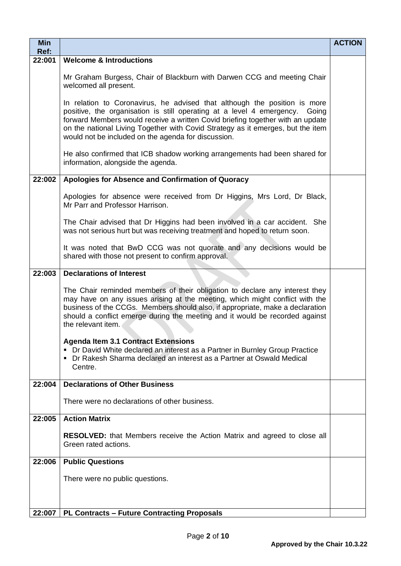| <b>Min</b><br>Ref: |                                                                                                                                                                                                                                                                                                                                                                                      | <b>ACTION</b> |
|--------------------|--------------------------------------------------------------------------------------------------------------------------------------------------------------------------------------------------------------------------------------------------------------------------------------------------------------------------------------------------------------------------------------|---------------|
| 22:001             | <b>Welcome &amp; Introductions</b>                                                                                                                                                                                                                                                                                                                                                   |               |
|                    | Mr Graham Burgess, Chair of Blackburn with Darwen CCG and meeting Chair<br>welcomed all present.                                                                                                                                                                                                                                                                                     |               |
|                    | In relation to Coronavirus, he advised that although the position is more<br>positive, the organisation is still operating at a level 4 emergency. Going<br>forward Members would receive a written Covid briefing together with an update<br>on the national Living Together with Covid Strategy as it emerges, but the item<br>would not be included on the agenda for discussion. |               |
|                    | He also confirmed that ICB shadow working arrangements had been shared for<br>information, alongside the agenda.                                                                                                                                                                                                                                                                     |               |
| 22:002             | Apologies for Absence and Confirmation of Quoracy                                                                                                                                                                                                                                                                                                                                    |               |
|                    | Apologies for absence were received from Dr Higgins, Mrs Lord, Dr Black,<br>Mr Parr and Professor Harrison.                                                                                                                                                                                                                                                                          |               |
|                    | The Chair advised that Dr Higgins had been involved in a car accident. She<br>was not serious hurt but was receiving treatment and hoped to return soon.                                                                                                                                                                                                                             |               |
|                    | It was noted that BwD CCG was not quorate and any decisions would be<br>shared with those not present to confirm approval.                                                                                                                                                                                                                                                           |               |
| 22:003             | <b>Declarations of Interest</b>                                                                                                                                                                                                                                                                                                                                                      |               |
|                    | The Chair reminded members of their obligation to declare any interest they<br>may have on any issues arising at the meeting, which might conflict with the<br>business of the CCGs. Members should also, if appropriate, make a declaration<br>should a conflict emerge during the meeting and it would be recorded against<br>the relevant item.                                   |               |
|                    | <b>Agenda Item 3.1 Contract Extensions</b><br>• Dr David White declared an interest as a Partner in Burnley Group Practice<br>• Dr Rakesh Sharma declared an interest as a Partner at Oswald Medical<br>Centre.                                                                                                                                                                      |               |
| 22:004             | <b>Declarations of Other Business</b>                                                                                                                                                                                                                                                                                                                                                |               |
|                    | There were no declarations of other business.                                                                                                                                                                                                                                                                                                                                        |               |
| 22:005             | <b>Action Matrix</b>                                                                                                                                                                                                                                                                                                                                                                 |               |
|                    | <b>RESOLVED:</b> that Members receive the Action Matrix and agreed to close all<br>Green rated actions.                                                                                                                                                                                                                                                                              |               |
| 22:006             | <b>Public Questions</b>                                                                                                                                                                                                                                                                                                                                                              |               |
|                    | There were no public questions.                                                                                                                                                                                                                                                                                                                                                      |               |
| 22:007             | <b>PL Contracts - Future Contracting Proposals</b>                                                                                                                                                                                                                                                                                                                                   |               |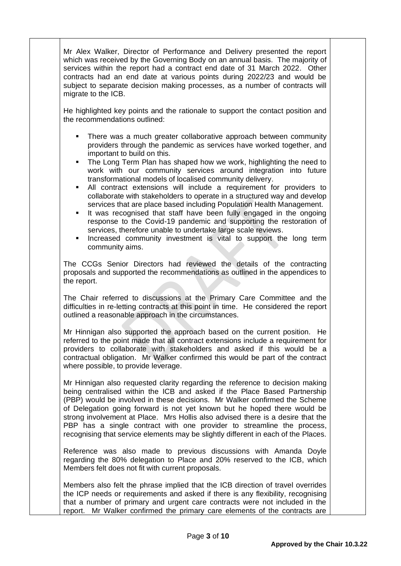Mr Alex Walker, Director of Performance and Delivery presented the report which was received by the Governing Body on an annual basis. The majority of services within the report had a contract end date of 31 March 2022. Other contracts had an end date at various points during 2022/23 and would be subject to separate decision making processes, as a number of contracts will migrate to the ICB.

He highlighted key points and the rationale to support the contact position and the recommendations outlined:

- **•** There was a much greater collaborative approach between community providers through the pandemic as services have worked together, and important to build on this.
- The Long Term Plan has shaped how we work, highlighting the need to work with our community services around integration into future transformational models of localised community delivery.
- All contract extensions will include a requirement for providers to collaborate with stakeholders to operate in a structured way and develop services that are place based including Population Health Management.
- It was recognised that staff have been fully engaged in the ongoing response to the Covid-19 pandemic and supporting the restoration of services, therefore unable to undertake large scale reviews.
- Increased community investment is vital to support the long term community aims.

The CCGs Senior Directors had reviewed the details of the contracting proposals and supported the recommendations as outlined in the appendices to the report.

The Chair referred to discussions at the Primary Care Committee and the difficulties in re-letting contracts at this point in time. He considered the report outlined a reasonable approach in the circumstances.

Mr Hinnigan also supported the approach based on the current position. He referred to the point made that all contract extensions include a requirement for providers to collaborate with stakeholders and asked if this would be a contractual obligation. Mr Walker confirmed this would be part of the contract where possible, to provide leverage.

Mr Hinnigan also requested clarity regarding the reference to decision making being centralised within the ICB and asked if the Place Based Partnership (PBP) would be involved in these decisions. Mr Walker confirmed the Scheme of Delegation going forward is not yet known but he hoped there would be strong involvement at Place. Mrs Hollis also advised there is a desire that the PBP has a single contract with one provider to streamline the process, recognising that service elements may be slightly different in each of the Places.

Reference was also made to previous discussions with Amanda Doyle regarding the 80% delegation to Place and 20% reserved to the ICB, which Members felt does not fit with current proposals.

Members also felt the phrase implied that the ICB direction of travel overrides the ICP needs or requirements and asked if there is any flexibility, recognising that a number of primary and urgent care contracts were not included in the report. Mr Walker confirmed the primary care elements of the contracts are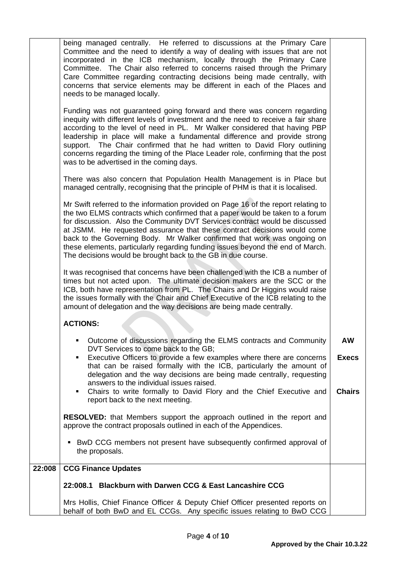|        | being managed centrally. He referred to discussions at the Primary Care                                                                                                                                                                                                                                                                                                                                                                                                                                                                                      |                                            |  |  |  |  |
|--------|--------------------------------------------------------------------------------------------------------------------------------------------------------------------------------------------------------------------------------------------------------------------------------------------------------------------------------------------------------------------------------------------------------------------------------------------------------------------------------------------------------------------------------------------------------------|--------------------------------------------|--|--|--|--|
|        | Committee and the need to identify a way of dealing with issues that are not<br>incorporated in the ICB mechanism, locally through the Primary Care<br>Committee. The Chair also referred to concerns raised through the Primary<br>Care Committee regarding contracting decisions being made centrally, with<br>concerns that service elements may be different in each of the Places and<br>needs to be managed locally.                                                                                                                                   |                                            |  |  |  |  |
|        | Funding was not guaranteed going forward and there was concern regarding<br>inequity with different levels of investment and the need to receive a fair share<br>according to the level of need in PL. Mr Walker considered that having PBP<br>leadership in place will make a fundamental difference and provide strong<br>support. The Chair confirmed that he had written to David Flory outlining<br>concerns regarding the timing of the Place Leader role, confirming that the post<br>was to be advertised in the coming days.                        |                                            |  |  |  |  |
|        | There was also concern that Population Health Management is in Place but<br>managed centrally, recognising that the principle of PHM is that it is localised.                                                                                                                                                                                                                                                                                                                                                                                                |                                            |  |  |  |  |
|        | Mr Swift referred to the information provided on Page 16 of the report relating to<br>the two ELMS contracts which confirmed that a paper would be taken to a forum<br>for discussion. Also the Community DVT Services contract would be discussed<br>at JSMM. He requested assurance that these contract decisions would come<br>back to the Governing Body. Mr Walker confirmed that work was ongoing on<br>these elements, particularly regarding funding issues beyond the end of March.<br>The decisions would be brought back to the GB in due course. |                                            |  |  |  |  |
|        | It was recognised that concerns have been challenged with the ICB a number of<br>times but not acted upon. The ultimate decision makers are the SCC or the<br>ICB, both have representation from PL. The Chairs and Dr Higgins would raise<br>the issues formally with the Chair and Chief Executive of the ICB relating to the<br>amount of delegation and the way decisions are being made centrally.                                                                                                                                                      |                                            |  |  |  |  |
|        | <b>ACTIONS:</b>                                                                                                                                                                                                                                                                                                                                                                                                                                                                                                                                              |                                            |  |  |  |  |
|        | Outcome of discussions regarding the ELMS contracts and Community<br>DVT Services to come back to the GB;<br>Executive Officers to provide a few examples where there are concerns<br>٠<br>that can be raised formally with the ICB, particularly the amount of<br>delegation and the way decisions are being made centrally, requesting<br>answers to the individual issues raised.                                                                                                                                                                         | <b>AW</b><br><b>Execs</b><br><b>Chairs</b> |  |  |  |  |
|        | Chairs to write formally to David Flory and the Chief Executive and<br>٠<br>report back to the next meeting.                                                                                                                                                                                                                                                                                                                                                                                                                                                 |                                            |  |  |  |  |
|        | <b>RESOLVED:</b> that Members support the approach outlined in the report and<br>approve the contract proposals outlined in each of the Appendices.                                                                                                                                                                                                                                                                                                                                                                                                          |                                            |  |  |  |  |
|        | BwD CCG members not present have subsequently confirmed approval of<br>the proposals.                                                                                                                                                                                                                                                                                                                                                                                                                                                                        |                                            |  |  |  |  |
| 22:008 | <b>CCG Finance Updates</b>                                                                                                                                                                                                                                                                                                                                                                                                                                                                                                                                   |                                            |  |  |  |  |
|        | <b>Blackburn with Darwen CCG &amp; East Lancashire CCG</b><br>22:008.1                                                                                                                                                                                                                                                                                                                                                                                                                                                                                       |                                            |  |  |  |  |
|        | Mrs Hollis, Chief Finance Officer & Deputy Chief Officer presented reports on<br>behalf of both BwD and EL CCGs. Any specific issues relating to BwD CCG                                                                                                                                                                                                                                                                                                                                                                                                     |                                            |  |  |  |  |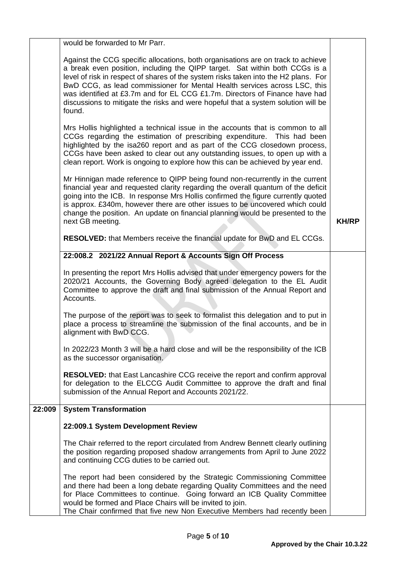|        | would be forwarded to Mr Parr.                                                                                                                                                                                                                                                                                                                                                                                                                                                                                    |              |
|--------|-------------------------------------------------------------------------------------------------------------------------------------------------------------------------------------------------------------------------------------------------------------------------------------------------------------------------------------------------------------------------------------------------------------------------------------------------------------------------------------------------------------------|--------------|
|        | Against the CCG specific allocations, both organisations are on track to achieve<br>a break even position, including the QIPP target. Sat within both CCGs is a<br>level of risk in respect of shares of the system risks taken into the H2 plans. For<br>BwD CCG, as lead commissioner for Mental Health services across LSC, this<br>was identified at £3.7m and for EL CCG £1.7m. Directors of Finance have had<br>discussions to mitigate the risks and were hopeful that a system solution will be<br>found. |              |
|        | Mrs Hollis highlighted a technical issue in the accounts that is common to all<br>CCGs regarding the estimation of prescribing expenditure. This had been<br>highlighted by the isa260 report and as part of the CCG closedown process,<br>CCGs have been asked to clear out any outstanding issues, to open up with a<br>clean report. Work is ongoing to explore how this can be achieved by year end.                                                                                                          |              |
|        | Mr Hinnigan made reference to QIPP being found non-recurrently in the current<br>financial year and requested clarity regarding the overall quantum of the deficit<br>going into the ICB. In response Mrs Hollis confirmed the figure currently quoted<br>is approx. £340m, however there are other issues to be uncovered which could<br>change the position. An update on financial planning would be presented to the<br>next GB meeting.                                                                      | <b>KH/RP</b> |
|        | RESOLVED: that Members receive the financial update for BwD and EL CCGs.                                                                                                                                                                                                                                                                                                                                                                                                                                          |              |
|        | 22:008.2 2021/22 Annual Report & Accounts Sign Off Process                                                                                                                                                                                                                                                                                                                                                                                                                                                        |              |
|        | In presenting the report Mrs Hollis advised that under emergency powers for the<br>2020/21 Accounts, the Governing Body agreed delegation to the EL Audit<br>Committee to approve the draft and final submission of the Annual Report and<br>Accounts.                                                                                                                                                                                                                                                            |              |
|        | The purpose of the report was to seek to formalist this delegation and to put in<br>place a process to streamline the submission of the final accounts, and be in<br>alignment with BwD CCG.                                                                                                                                                                                                                                                                                                                      |              |
|        | In 2022/23 Month 3 will be a hard close and will be the responsibility of the ICB<br>as the successor organisation.                                                                                                                                                                                                                                                                                                                                                                                               |              |
|        | <b>RESOLVED:</b> that East Lancashire CCG receive the report and confirm approval<br>for delegation to the ELCCG Audit Committee to approve the draft and final<br>submission of the Annual Report and Accounts 2021/22.                                                                                                                                                                                                                                                                                          |              |
| 22:009 | <b>System Transformation</b>                                                                                                                                                                                                                                                                                                                                                                                                                                                                                      |              |
|        | 22:009.1 System Development Review                                                                                                                                                                                                                                                                                                                                                                                                                                                                                |              |
|        | The Chair referred to the report circulated from Andrew Bennett clearly outlining<br>the position regarding proposed shadow arrangements from April to June 2022<br>and continuing CCG duties to be carried out.                                                                                                                                                                                                                                                                                                  |              |
|        | The report had been considered by the Strategic Commissioning Committee<br>and there had been a long debate regarding Quality Committees and the need<br>for Place Committees to continue. Going forward an ICB Quality Committee<br>would be formed and Place Chairs will be invited to join.<br>The Chair confirmed that five new Non Executive Members had recently been                                                                                                                                       |              |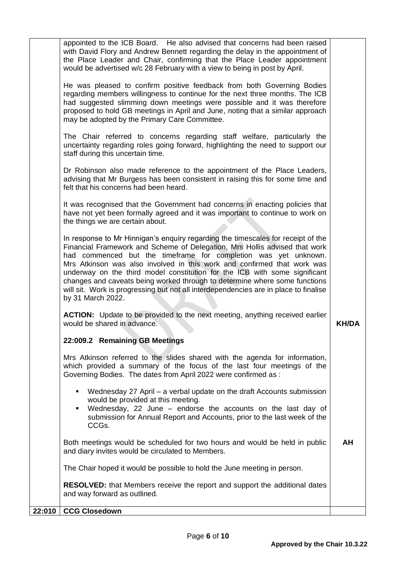| appointed to the ICB Board. He also advised that concerns had been raised                                                                                                                                                                                                                                                                                                                                                                                                                                                                                                             |              |
|---------------------------------------------------------------------------------------------------------------------------------------------------------------------------------------------------------------------------------------------------------------------------------------------------------------------------------------------------------------------------------------------------------------------------------------------------------------------------------------------------------------------------------------------------------------------------------------|--------------|
| with David Flory and Andrew Bennett regarding the delay in the appointment of<br>the Place Leader and Chair, confirming that the Place Leader appointment<br>would be advertised w/c 28 February with a view to being in post by April.                                                                                                                                                                                                                                                                                                                                               |              |
| He was pleased to confirm positive feedback from both Governing Bodies<br>regarding members willingness to continue for the next three months. The ICB<br>had suggested slimming down meetings were possible and it was therefore<br>proposed to hold GB meetings in April and June, noting that a similar approach<br>may be adopted by the Primary Care Committee.                                                                                                                                                                                                                  |              |
| The Chair referred to concerns regarding staff welfare, particularly the<br>uncertainty regarding roles going forward, highlighting the need to support our<br>staff during this uncertain time.                                                                                                                                                                                                                                                                                                                                                                                      |              |
| Dr Robinson also made reference to the appointment of the Place Leaders,<br>advising that Mr Burgess has been consistent in raising this for some time and<br>felt that his concerns had been heard.                                                                                                                                                                                                                                                                                                                                                                                  |              |
| It was recognised that the Government had concerns in enacting policies that<br>have not yet been formally agreed and it was important to continue to work on<br>the things we are certain about.                                                                                                                                                                                                                                                                                                                                                                                     |              |
| In response to Mr Hinnigan's enquiry regarding the timescales for receipt of the<br>Financial Framework and Scheme of Delegation, Mrs Hollis advised that work<br>had commenced but the timeframe for completion was yet unknown.<br>Mrs Atkinson was also involved in this work and confirmed that work was<br>underway on the third model constitution for the ICB with some significant<br>changes and caveats being worked through to determine where some functions<br>will sit. Work is progressing but not all interdependencies are in place to finalise<br>by 31 March 2022. |              |
| <b>ACTION:</b> Update to be provided to the next meeting, anything received earlier<br>would be shared in advance.                                                                                                                                                                                                                                                                                                                                                                                                                                                                    | <b>KH/DA</b> |
| 22:009.2 Remaining GB Meetings                                                                                                                                                                                                                                                                                                                                                                                                                                                                                                                                                        |              |
| Mrs Atkinson referred to the slides shared with the agenda for information,<br>which provided a summary of the focus of the last four meetings of the<br>Governing Bodies. The dates from April 2022 were confirmed as :                                                                                                                                                                                                                                                                                                                                                              |              |
| Wednesday 27 April – a verbal update on the draft Accounts submission<br>$\blacksquare$<br>would be provided at this meeting.<br>Wednesday, 22 June - endorse the accounts on the last day of<br>٠<br>submission for Annual Report and Accounts, prior to the last week of the<br>CCGs.                                                                                                                                                                                                                                                                                               |              |
| Both meetings would be scheduled for two hours and would be held in public<br>and diary invites would be circulated to Members.                                                                                                                                                                                                                                                                                                                                                                                                                                                       | AΗ           |
| The Chair hoped it would be possible to hold the June meeting in person.                                                                                                                                                                                                                                                                                                                                                                                                                                                                                                              |              |
| <b>RESOLVED:</b> that Members receive the report and support the additional dates<br>and way forward as outlined.                                                                                                                                                                                                                                                                                                                                                                                                                                                                     |              |
| 22:010   CCG Closedown                                                                                                                                                                                                                                                                                                                                                                                                                                                                                                                                                                |              |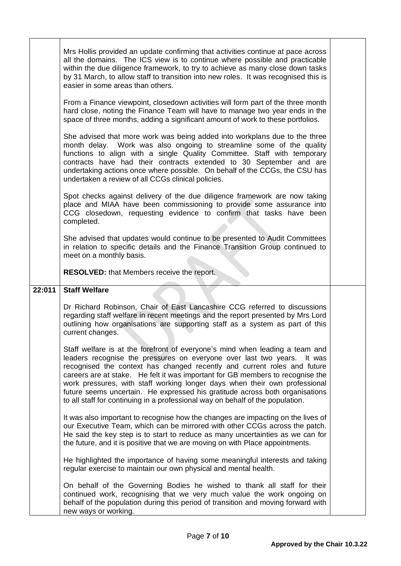|        | Mrs Hollis provided an update confirming that activities continue at pace across<br>all the domains. The ICS view is to continue where possible and practicable<br>within the due diligence framework, to try to achieve as many close down tasks<br>by 31 March, to allow staff to transition into new roles. It was recognised this is<br>easier in some areas than others.                                                                                                                                                                                            |  |
|--------|--------------------------------------------------------------------------------------------------------------------------------------------------------------------------------------------------------------------------------------------------------------------------------------------------------------------------------------------------------------------------------------------------------------------------------------------------------------------------------------------------------------------------------------------------------------------------|--|
|        | From a Finance viewpoint, closedown activities will form part of the three month<br>hard close, noting the Finance Team will have to manage two year ends in the<br>space of three months, adding a significant amount of work to these portfolios.                                                                                                                                                                                                                                                                                                                      |  |
|        | She advised that more work was being added into workplans due to the three<br>month delay. Work was also ongoing to streamline some of the quality<br>functions to align with a single Quality Committee. Staff with temporary<br>contracts have had their contracts extended to 30 September and are<br>undertaking actions once where possible. On behalf of the CCGs, the CSU has<br>undertaken a review of all CCGs clinical policies.                                                                                                                               |  |
|        | Spot checks against delivery of the due diligence framework are now taking<br>place and MIAA have been commissioning to provide some assurance into<br>CCG closedown, requesting evidence to confirm that tasks have been<br>completed.                                                                                                                                                                                                                                                                                                                                  |  |
|        | She advised that updates would continue to be presented to Audit Committees<br>in relation to specific details and the Finance Transition Group continued to<br>meet on a monthly basis.                                                                                                                                                                                                                                                                                                                                                                                 |  |
|        | <b>RESOLVED:</b> that Members receive the report.                                                                                                                                                                                                                                                                                                                                                                                                                                                                                                                        |  |
|        |                                                                                                                                                                                                                                                                                                                                                                                                                                                                                                                                                                          |  |
| 22:011 | <b>Staff Welfare</b>                                                                                                                                                                                                                                                                                                                                                                                                                                                                                                                                                     |  |
|        | Dr Richard Robinson, Chair of East Lancashire CCG referred to discussions<br>regarding staff welfare in recent meetings and the report presented by Mrs Lord<br>outlining how organisations are supporting staff as a system as part of this<br>current changes.                                                                                                                                                                                                                                                                                                         |  |
|        | Staff welfare is at the forefront of everyone's mind when leading a team and<br>leaders recognise the pressures on everyone over last two years.<br>It was<br>recognised the context has changed recently and current roles and future<br>careers are at stake. He felt it was important for GB members to recognise the<br>work pressures, with staff working longer days when their own professional<br>future seems uncertain. He expressed his gratitude across both organisations<br>to all staff for continuing in a professional way on behalf of the population. |  |
|        | It was also important to recognise how the changes are impacting on the lives of<br>our Executive Team, which can be mirrored with other CCGs across the patch.<br>He said the key step is to start to reduce as many uncertainties as we can for<br>the future, and it is positive that we are moving on with Place appointments.                                                                                                                                                                                                                                       |  |
|        | He highlighted the importance of having some meaningful interests and taking<br>regular exercise to maintain our own physical and mental health.                                                                                                                                                                                                                                                                                                                                                                                                                         |  |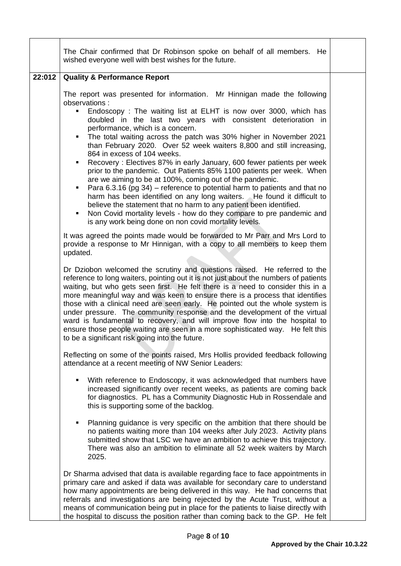|        | The Chair confirmed that Dr Robinson spoke on behalf of all members. He<br>wished everyone well with best wishes for the future.                                                                                                                                                                                                                                                                                                                                                                                                                                                                                                                                                                                                                                                                                                                                                                                                                                                                                                                |  |
|--------|-------------------------------------------------------------------------------------------------------------------------------------------------------------------------------------------------------------------------------------------------------------------------------------------------------------------------------------------------------------------------------------------------------------------------------------------------------------------------------------------------------------------------------------------------------------------------------------------------------------------------------------------------------------------------------------------------------------------------------------------------------------------------------------------------------------------------------------------------------------------------------------------------------------------------------------------------------------------------------------------------------------------------------------------------|--|
| 22:012 | <b>Quality &amp; Performance Report</b>                                                                                                                                                                                                                                                                                                                                                                                                                                                                                                                                                                                                                                                                                                                                                                                                                                                                                                                                                                                                         |  |
|        | The report was presented for information. Mr Hinnigan made the following<br>observations :<br>Endoscopy: The waiting list at ELHT is now over 3000, which has<br>٠<br>doubled in the last two years with consistent deterioration in<br>performance, which is a concern.<br>The total waiting across the patch was 30% higher in November 2021<br>٠<br>than February 2020. Over 52 week waiters 8,800 and still increasing,<br>864 in excess of 104 weeks.<br>Recovery: Electives 87% in early January, 600 fewer patients per week<br>٠<br>prior to the pandemic. Out Patients 85% 1100 patients per week. When<br>are we aiming to be at 100%, coming out of the pandemic.<br>Para 6.3.16 (pg 34) – reference to potential harm to patients and that no<br>harm has been identified on any long waiters. He found it difficult to<br>believe the statement that no harm to any patient been identified.<br>Non Covid mortality levels - how do they compare to pre pandemic and<br>٠<br>is any work being done on non covid mortality levels. |  |
|        | It was agreed the points made would be forwarded to Mr Parr and Mrs Lord to<br>provide a response to Mr Hinnigan, with a copy to all members to keep them<br>updated.                                                                                                                                                                                                                                                                                                                                                                                                                                                                                                                                                                                                                                                                                                                                                                                                                                                                           |  |
|        | Dr Dziobon welcomed the scrutiny and questions raised. He referred to the<br>reference to long waiters, pointing out it is not just about the numbers of patients<br>waiting, but who gets seen first. He felt there is a need to consider this in a<br>more meaningful way and was keen to ensure there is a process that identifies<br>those with a clinical need are seen early. He pointed out the whole system is<br>under pressure. The community response and the development of the virtual<br>ward is fundamental to recovery, and will improve flow into the hospital to<br>ensure those people waiting are seen in a more sophisticated way. He felt this<br>to be a significant risk going into the future.                                                                                                                                                                                                                                                                                                                         |  |
|        | Reflecting on some of the points raised, Mrs Hollis provided feedback following<br>attendance at a recent meeting of NW Senior Leaders:                                                                                                                                                                                                                                                                                                                                                                                                                                                                                                                                                                                                                                                                                                                                                                                                                                                                                                         |  |
|        | With reference to Endoscopy, it was acknowledged that numbers have<br>٠<br>increased significantly over recent weeks, as patients are coming back<br>for diagnostics. PL has a Community Diagnostic Hub in Rossendale and<br>this is supporting some of the backlog.                                                                                                                                                                                                                                                                                                                                                                                                                                                                                                                                                                                                                                                                                                                                                                            |  |
|        | Planning guidance is very specific on the ambition that there should be<br>٠<br>no patients waiting more than 104 weeks after July 2023. Activity plans<br>submitted show that LSC we have an ambition to achieve this trajectory.<br>There was also an ambition to eliminate all 52 week waiters by March<br>2025.                                                                                                                                                                                                                                                                                                                                                                                                                                                                                                                                                                                                                                                                                                                             |  |
|        | Dr Sharma advised that data is available regarding face to face appointments in<br>primary care and asked if data was available for secondary care to understand<br>how many appointments are being delivered in this way. He had concerns that<br>referrals and investigations are being rejected by the Acute Trust, without a<br>means of communication being put in place for the patients to liaise directly with<br>the hospital to discuss the position rather than coming back to the GP. He felt                                                                                                                                                                                                                                                                                                                                                                                                                                                                                                                                       |  |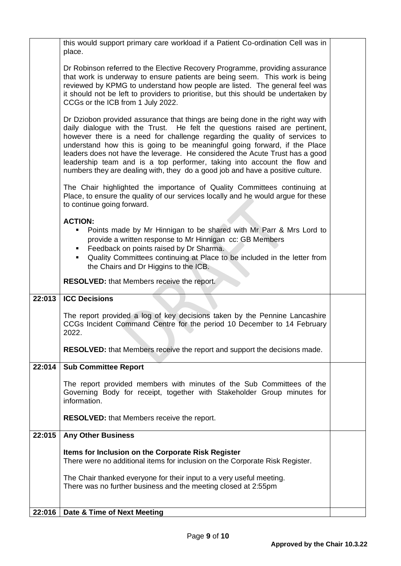|        | this would support primary care workload if a Patient Co-ordination Cell was in<br>place.                                                                                                                                                                                                                                                                                                                                                                                                                                                                             |  |
|--------|-----------------------------------------------------------------------------------------------------------------------------------------------------------------------------------------------------------------------------------------------------------------------------------------------------------------------------------------------------------------------------------------------------------------------------------------------------------------------------------------------------------------------------------------------------------------------|--|
|        | Dr Robinson referred to the Elective Recovery Programme, providing assurance<br>that work is underway to ensure patients are being seem. This work is being<br>reviewed by KPMG to understand how people are listed. The general feel was<br>it should not be left to providers to prioritise, but this should be undertaken by<br>CCGs or the ICB from 1 July 2022.                                                                                                                                                                                                  |  |
|        | Dr Dziobon provided assurance that things are being done in the right way with<br>daily dialogue with the Trust. He felt the questions raised are pertinent,<br>however there is a need for challenge regarding the quality of services to<br>understand how this is going to be meaningful going forward, if the Place<br>leaders does not have the leverage. He considered the Acute Trust has a good<br>leadership team and is a top performer, taking into account the flow and<br>numbers they are dealing with, they do a good job and have a positive culture. |  |
|        | The Chair highlighted the importance of Quality Committees continuing at<br>Place, to ensure the quality of our services locally and he would argue for these<br>to continue going forward.                                                                                                                                                                                                                                                                                                                                                                           |  |
|        | <b>ACTION:</b><br>Points made by Mr Hinnigan to be shared with Mr Parr & Mrs Lord to<br>provide a written response to Mr Hinnigan cc: GB Members<br>Feedback on points raised by Dr Sharma.<br>Quality Committees continuing at Place to be included in the letter from<br>the Chairs and Dr Higgins to the ICB.                                                                                                                                                                                                                                                      |  |
|        | RESOLVED: that Members receive the report.                                                                                                                                                                                                                                                                                                                                                                                                                                                                                                                            |  |
| 22:013 | <b>ICC Decisions</b>                                                                                                                                                                                                                                                                                                                                                                                                                                                                                                                                                  |  |
|        | The report provided a log of key decisions taken by the Pennine Lancashire<br>CCGs Incident Command Centre for the period 10 December to 14 February<br>2022.                                                                                                                                                                                                                                                                                                                                                                                                         |  |
|        | <b>RESOLVED:</b> that Members receive the report and support the decisions made.                                                                                                                                                                                                                                                                                                                                                                                                                                                                                      |  |
| 22:014 | <b>Sub Committee Report</b>                                                                                                                                                                                                                                                                                                                                                                                                                                                                                                                                           |  |
|        | The report provided members with minutes of the Sub Committees of the<br>Governing Body for receipt, together with Stakeholder Group minutes for<br>information.                                                                                                                                                                                                                                                                                                                                                                                                      |  |
|        | <b>RESOLVED:</b> that Members receive the report.                                                                                                                                                                                                                                                                                                                                                                                                                                                                                                                     |  |
| 22:015 | <b>Any Other Business</b>                                                                                                                                                                                                                                                                                                                                                                                                                                                                                                                                             |  |
|        | Items for Inclusion on the Corporate Risk Register<br>There were no additional items for inclusion on the Corporate Risk Register.                                                                                                                                                                                                                                                                                                                                                                                                                                    |  |
|        | The Chair thanked everyone for their input to a very useful meeting.<br>There was no further business and the meeting closed at 2:55pm                                                                                                                                                                                                                                                                                                                                                                                                                                |  |
|        |                                                                                                                                                                                                                                                                                                                                                                                                                                                                                                                                                                       |  |